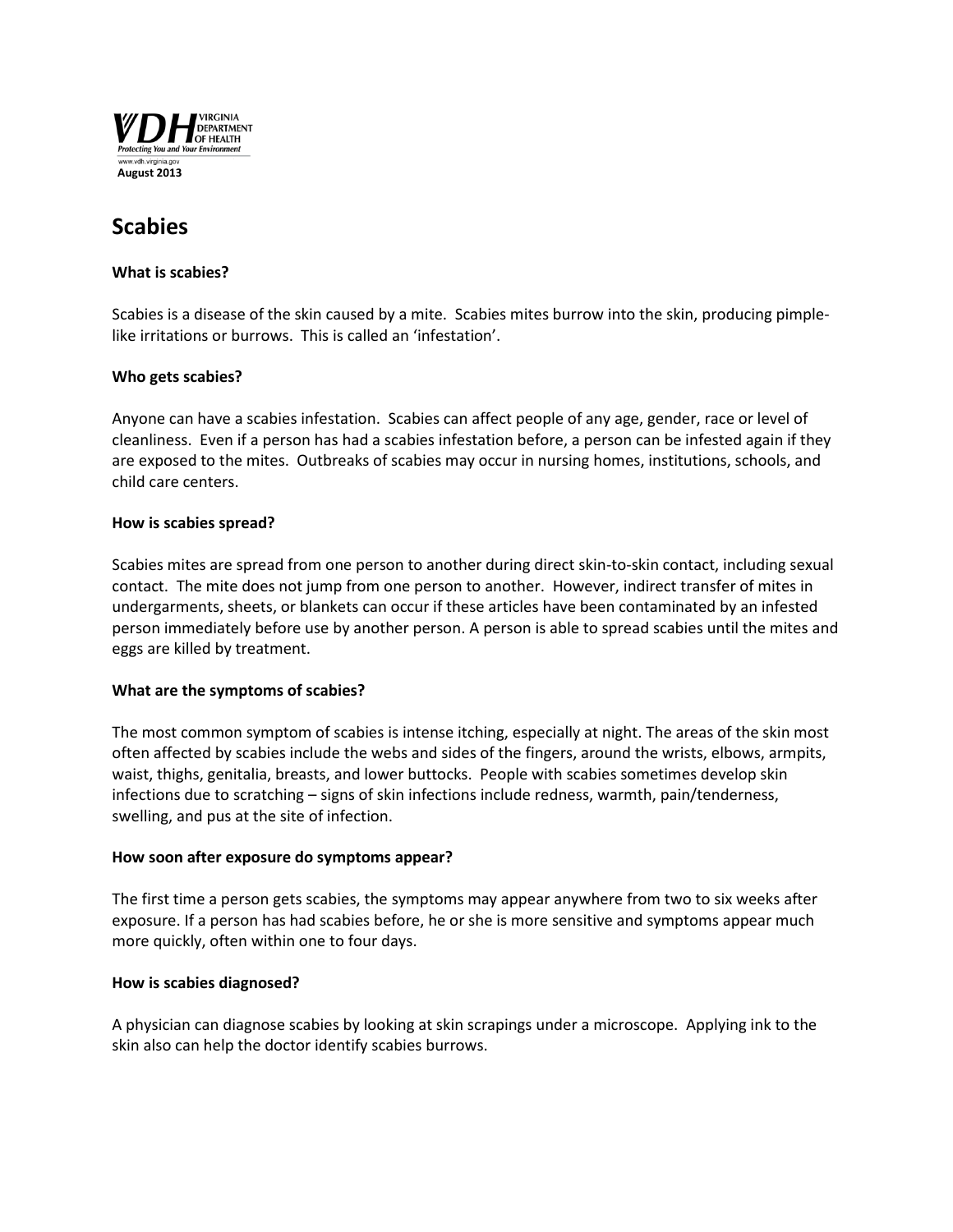

# **Scabies**

## **What is scabies?**

Scabies is a disease of the skin caused by a mite. Scabies mites burrow into the skin, producing pimplelike irritations or burrows. This is called an 'infestation'.

# **Who gets scabies?**

Anyone can have a scabies infestation. Scabies can affect people of any age, gender, race or level of cleanliness. Even if a person has had a scabies infestation before, a person can be infested again if they are exposed to the mites. Outbreaks of scabies may occur in nursing homes, institutions, schools, and child care centers.

## **How is scabies spread?**

Scabies mites are spread from one person to another during direct skin-to-skin contact, including sexual contact. The mite does not jump from one person to another. However, indirect transfer of mites in undergarments, sheets, or blankets can occur if these articles have been contaminated by an infested person immediately before use by another person. A person is able to spread scabies until the mites and eggs are killed by treatment.

# **What are the symptoms of scabies?**

The most common symptom of scabies is intense itching, especially at night. The areas of the skin most often affected by scabies include the webs and sides of the fingers, around the wrists, elbows, armpits, waist, thighs, genitalia, breasts, and lower buttocks. People with scabies sometimes develop skin infections due to scratching – signs of skin infections include redness, warmth, pain/tenderness, swelling, and pus at the site of infection.

#### **How soon after exposure do symptoms appear?**

The first time a person gets scabies, the symptoms may appear anywhere from two to six weeks after exposure. If a person has had scabies before, he or she is more sensitive and symptoms appear much more quickly, often within one to four days.

#### **How is scabies diagnosed?**

A physician can diagnose scabies by looking at skin scrapings under a microscope. Applying ink to the skin also can help the doctor identify scabies burrows.